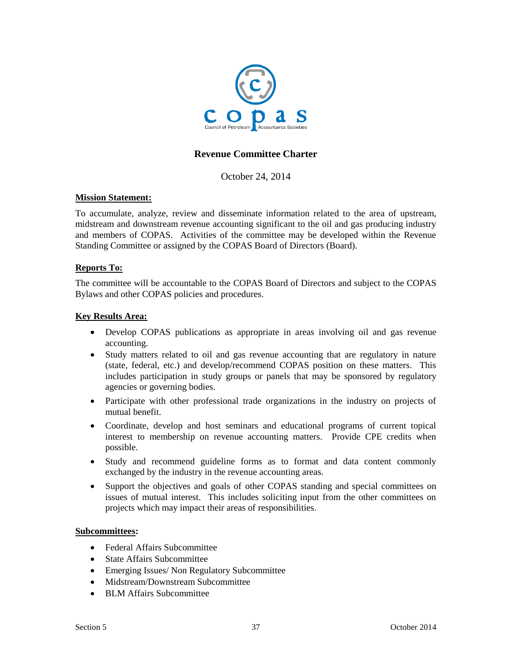

# **Revenue Committee Charter**

October 24, 2014

### **Mission Statement:**

To accumulate, analyze, review and disseminate information related to the area of upstream, midstream and downstream revenue accounting significant to the oil and gas producing industry and members of COPAS. Activities of the committee may be developed within the Revenue Standing Committee or assigned by the COPAS Board of Directors (Board).

### **Reports To:**

The committee will be accountable to the COPAS Board of Directors and subject to the COPAS Bylaws and other COPAS policies and procedures.

### **Key Results Area:**

- Develop COPAS publications as appropriate in areas involving oil and gas revenue accounting.
- Study matters related to oil and gas revenue accounting that are regulatory in nature (state, federal, etc.) and develop/recommend COPAS position on these matters. This includes participation in study groups or panels that may be sponsored by regulatory agencies or governing bodies.
- Participate with other professional trade organizations in the industry on projects of mutual benefit.
- Coordinate, develop and host seminars and educational programs of current topical interest to membership on revenue accounting matters. Provide CPE credits when possible.
- Study and recommend guideline forms as to format and data content commonly exchanged by the industry in the revenue accounting areas.
- Support the objectives and goals of other COPAS standing and special committees on issues of mutual interest. This includes soliciting input from the other committees on projects which may impact their areas of responsibilities.

#### **Subcommittees:**

- Federal Affairs Subcommittee
- State Affairs Subcommittee
- Emerging Issues/ Non Regulatory Subcommittee
- Midstream/Downstream Subcommittee
- BLM Affairs Subcommittee